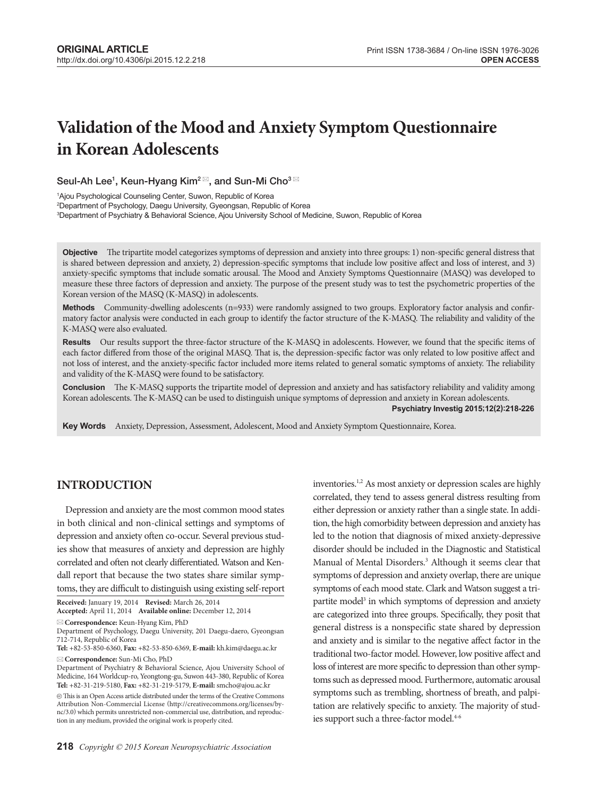# **Validation of the Mood and Anxiety Symptom Questionnaire in Korean Adolescents**

Seul-Ah Lee $^1$ , Keun-Hyang Kim $^2$  $\stackrel{\boxdot}{ }$ , and Sun-Mi Cho $^3$   $\stackrel{\boxdot}{ }$ 

1 Ajou Psychological Counseling Center, Suwon, Republic of Korea 2 Department of Psychology, Daegu University, Gyeongsan, Republic of Korea

3 Department of Psychiatry & Behavioral Science, Ajou University School of Medicine, Suwon, Republic of Korea

**Objective** The tripartite model categorizes symptoms of depression and anxiety into three groups: 1) non-specific general distress that is shared between depression and anxiety, 2) depression-specific symptoms that include low positive affect and loss of interest, and 3) anxiety-specific symptoms that include somatic arousal. The Mood and Anxiety Symptoms Questionnaire (MASQ) was developed to measure these three factors of depression and anxiety. The purpose of the present study was to test the psychometric properties of the Korean version of the MASQ (K-MASQ) in adolescents.

Methods Community-dwelling adolescents (n=933) were randomly assigned to two groups. Exploratory factor analysis and confirmatory factor analysis were conducted in each group to identify the factor structure of the K-MASQ. The reliability and validity of the K-MASQ were also evaluated.

**Results** Our results support the three-factor structure of the K-MASQ in adolescents. However, we found that the specific items of each factor differed from those of the original MASQ. That is, the depression-specific factor was only related to low positive affect and not loss of interest, and the anxiety-specific factor included more items related to general somatic symptoms of anxiety. The reliability and validity of the K-MASQ were found to be satisfactory.

**Conclusion** The K-MASQ supports the tripartite model of depression and anxiety and has satisfactory reliability and validity among Korean adolescents. The K-MASQ can be used to distinguish unique symptoms of depression and anxiety in Korean adolescents. **Psychiatry Investig 2015;12(2):218-226**

**Key Wordsaa**Anxiety, Depression, Assessment, Adolescent, Mood and Anxiety Symptom Questionnaire, Korea.

## **INTRODUCTION**

Depression and anxiety are the most common mood states in both clinical and non-clinical settings and symptoms of depression and anxiety often co-occur. Several previous studies show that measures of anxiety and depression are highly correlated and often not clearly differentiated. Watson and Kendall report that because the two states share similar symptoms, they are difficult to distinguish using existing self-report

**Received:** January 19, 2014 **Revised:** March 26, 2014 **Accepted:** April 11, 2014 **Available online:** December 12, 2014

**Correspondence:** Keun-Hyang Kim, PhD

Department of Psychology, Daegu University, 201 Daegu-daero, Gyeongsan 712-714, Republic of Korea

**Tel:** +82-53-850-6360, **Fax:** +82-53-850-6369, **E-mail:** kh.kim@daegu.ac.kr **Correspondence:** Sun-Mi Cho, PhD

inventories.<sup>1,2</sup> As most anxiety or depression scales are highly correlated, they tend to assess general distress resulting from either depression or anxiety rather than a single state. In addition, the high comorbidity between depression and anxiety has led to the notion that diagnosis of mixed anxiety-depressive disorder should be included in the Diagnostic and Statistical Manual of Mental Disorders.<sup>3</sup> Although it seems clear that symptoms of depression and anxiety overlap, there are unique symptoms of each mood state. Clark and Watson suggest a tripartite model<sup>3</sup> in which symptoms of depression and anxiety are categorized into three groups. Specifically, they posit that general distress is a nonspecific state shared by depression and anxiety and is similar to the negative affect factor in the traditional two-factor model. However, low positive affect and loss of interest are more specific to depression than other symptoms such as depressed mood. Furthermore, automatic arousal symptoms such as trembling, shortness of breath, and palpitation are relatively specific to anxiety. The majority of studies support such a three-factor model.<sup>4-6</sup>

Department of Psychiatry & Behavioral Science, Ajou University School of Medicine, 164 Worldcup-ro, Yeongtong-gu, Suwon 443-380, Republic of Korea **Tel:** +82-31-219-5180, **Fax:** +82-31-219-5179, **E-mail:** smcho@ajou.ac.kr

 $@$  This is an Open Access article distributed under the terms of the Creative Commons Attribution Non-Commercial License (http://creativecommons.org/licenses/bync/3.0) which permits unrestricted non-commercial use, distribution, and reproduction in any medium, provided the original work is properly cited.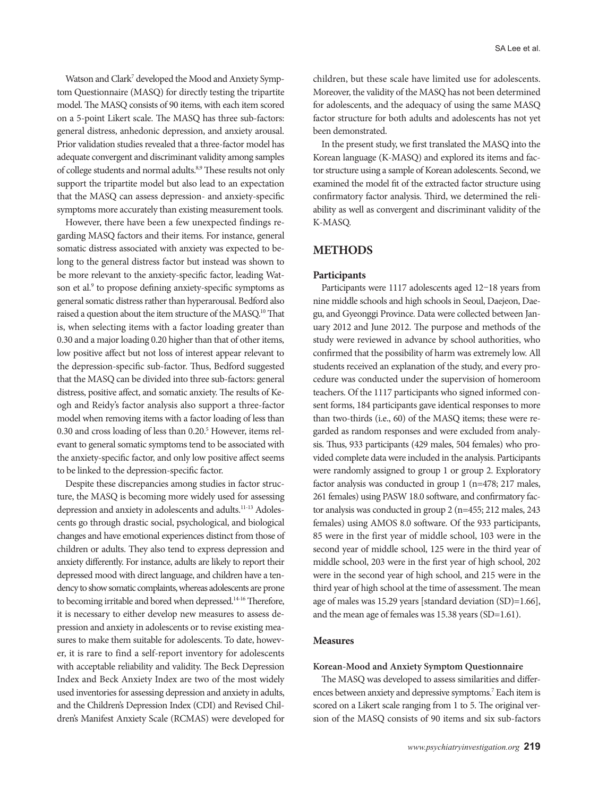Watson and Clark<sup>7</sup> developed the Mood and Anxiety Symptom Questionnaire (MASQ) for directly testing the tripartite model. The MASQ consists of 90 items, with each item scored on a 5-point Likert scale. The MASQ has three sub-factors: general distress, anhedonic depression, and anxiety arousal. Prior validation studies revealed that a three-factor model has adequate convergent and discriminant validity among samples of college students and normal adults.<sup>8,9</sup> These results not only support the tripartite model but also lead to an expectation that the MASQ can assess depression- and anxiety-specific symptoms more accurately than existing measurement tools.

However, there have been a few unexpected findings regarding MASQ factors and their items. For instance, general somatic distress associated with anxiety was expected to belong to the general distress factor but instead was shown to be more relevant to the anxiety-specific factor, leading Watson et al.<sup>9</sup> to propose defining anxiety-specific symptoms as general somatic distress rather than hyperarousal. Bedford also raised a question about the item structure of the MASQ.10 That is, when selecting items with a factor loading greater than 0.30 and a major loading 0.20 higher than that of other items, low positive affect but not loss of interest appear relevant to the depression-specific sub-factor. Thus, Bedford suggested that the MASQ can be divided into three sub-factors: general distress, positive affect, and somatic anxiety. The results of Keogh and Reidy's factor analysis also support a three-factor model when removing items with a factor loading of less than 0.30 and cross loading of less than 0.20.<sup>5</sup> However, items relevant to general somatic symptoms tend to be associated with the anxiety-specific factor, and only low positive affect seems to be linked to the depression-specific factor.

Despite these discrepancies among studies in factor structure, the MASQ is becoming more widely used for assessing depression and anxiety in adolescents and adults.<sup>11-13</sup> Adolescents go through drastic social, psychological, and biological changes and have emotional experiences distinct from those of children or adults. They also tend to express depression and anxiety differently. For instance, adults are likely to report their depressed mood with direct language, and children have a tendency to show somatic complaints, whereas adolescents are prone to becoming irritable and bored when depressed.<sup>14-16</sup> Therefore, it is necessary to either develop new measures to assess depression and anxiety in adolescents or to revise existing measures to make them suitable for adolescents. To date, however, it is rare to find a self-report inventory for adolescents with acceptable reliability and validity. The Beck Depression Index and Beck Anxiety Index are two of the most widely used inventories for assessing depression and anxiety in adults, and the Children's Depression Index (CDI) and Revised Children's Manifest Anxiety Scale (RCMAS) were developed for

children, but these scale have limited use for adolescents. Moreover, the validity of the MASQ has not been determined for adolescents, and the adequacy of using the same MASQ factor structure for both adults and adolescents has not yet been demonstrated.

In the present study, we first translated the MASQ into the Korean language (K-MASQ) and explored its items and factor structure using a sample of Korean adolescents. Second, we examined the model fit of the extracted factor structure using confirmatory factor analysis. Third, we determined the reliability as well as convergent and discriminant validity of the K-MASQ.

## **METHODS**

## **Participants**

Participants were 1117 adolescents aged 12–18 years from nine middle schools and high schools in Seoul, Daejeon, Daegu, and Gyeonggi Province. Data were collected between January 2012 and June 2012. The purpose and methods of the study were reviewed in advance by school authorities, who confirmed that the possibility of harm was extremely low. All students received an explanation of the study, and every procedure was conducted under the supervision of homeroom teachers. Of the 1117 participants who signed informed consent forms, 184 participants gave identical responses to more than two-thirds (i.e., 60) of the MASQ items; these were regarded as random responses and were excluded from analysis. Thus, 933 participants (429 males, 504 females) who provided complete data were included in the analysis. Participants were randomly assigned to group 1 or group 2. Exploratory factor analysis was conducted in group 1 (n=478; 217 males, 261 females) using PASW 18.0 software, and confirmatory factor analysis was conducted in group 2 (n=455; 212 males, 243 females) using AMOS 8.0 software. Of the 933 participants, 85 were in the first year of middle school, 103 were in the second year of middle school, 125 were in the third year of middle school, 203 were in the first year of high school, 202 were in the second year of high school, and 215 were in the third year of high school at the time of assessment. The mean age of males was 15.29 years [standard deviation (SD)=1.66], and the mean age of females was 15.38 years (SD=1.61).

## **Measures**

## **Korean-Mood and Anxiety Symptom Questionnaire**

The MASQ was developed to assess similarities and differences between anxiety and depressive symptoms.<sup>7</sup> Each item is scored on a Likert scale ranging from 1 to 5. The original version of the MASQ consists of 90 items and six sub-factors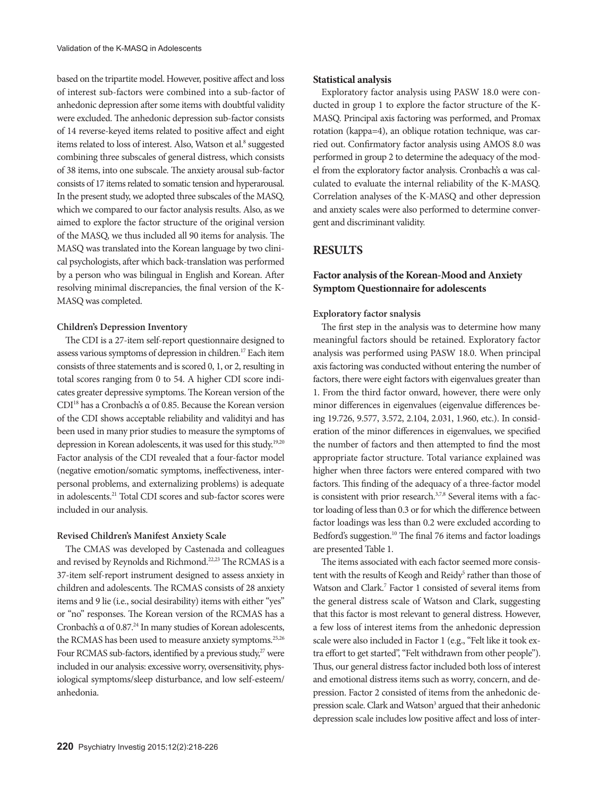based on the tripartite model. However, positive affect and loss of interest sub-factors were combined into a sub-factor of anhedonic depression after some items with doubtful validity were excluded. The anhedonic depression sub-factor consists of 14 reverse-keyed items related to positive affect and eight items related to loss of interest. Also, Watson et al.<sup>8</sup> suggested combining three subscales of general distress, which consists of 38 items, into one subscale. The anxiety arousal sub-factor consists of 17 items related to somatic tension and hyperarousal. In the present study, we adopted three subscales of the MASQ, which we compared to our factor analysis results. Also, as we aimed to explore the factor structure of the original version of the MASQ, we thus included all 90 items for analysis. The MASQ was translated into the Korean language by two clinical psychologists, after which back-translation was performed by a person who was bilingual in English and Korean. After resolving minimal discrepancies, the final version of the K-MASQ was completed.

## **Children's Depression Inventory**

The CDI is a 27-item self-report questionnaire designed to assess various symptoms of depression in children.17 Each item consists of three statements and is scored 0, 1, or 2, resulting in total scores ranging from 0 to 54. A higher CDI score indicates greater depressive symptoms. The Korean version of the CDI18 has a Cronbach's α of 0.85. Because the Korean version of the CDI shows acceptable reliability and validityi and has been used in many prior studies to measure the symptoms of depression in Korean adolescents, it was used for this study.19,20 Factor analysis of the CDI revealed that a four-factor model (negative emotion/somatic symptoms, ineffectiveness, interpersonal problems, and externalizing problems) is adequate in adolescents.21 Total CDI scores and sub-factor scores were included in our analysis.

## **Revised Children's Manifest Anxiety Scale**

The CMAS was developed by Castenada and colleagues and revised by Reynolds and Richmond.<sup>22,23</sup> The RCMAS is a 37-item self-report instrument designed to assess anxiety in children and adolescents. The RCMAS consists of 28 anxiety items and 9 lie (i.e., social desirability) items with either "yes" or "no" responses. The Korean version of the RCMAS has a Cronbach's α of 0.87.24 In many studies of Korean adolescents, the RCMAS has been used to measure anxiety symptoms.<sup>25,26</sup> Four RCMAS sub-factors, identified by a previous study,<sup>27</sup> were included in our analysis: excessive worry, oversensitivity, physiological symptoms/sleep disturbance, and low self-esteem/ anhedonia.

## **Statistical analysis**

Exploratory factor analysis using PASW 18.0 were conducted in group 1 to explore the factor structure of the K-MASQ. Principal axis factoring was performed, and Promax rotation (kappa=4), an oblique rotation technique, was carried out. Confirmatory factor analysis using AMOS 8.0 was performed in group 2 to determine the adequacy of the model from the exploratory factor analysis. Cronbach's α was calculated to evaluate the internal reliability of the K-MASQ. Correlation analyses of the K-MASQ and other depression and anxiety scales were also performed to determine convergent and discriminant validity.

## **RESULTS**

## **Factor analysis of the Korean-Mood and Anxiety Symptom Questionnaire for adolescents**

## **Exploratory factor snalysis**

The first step in the analysis was to determine how many meaningful factors should be retained. Exploratory factor analysis was performed using PASW 18.0. When principal axis factoring was conducted without entering the number of factors, there were eight factors with eigenvalues greater than 1. From the third factor onward, however, there were only minor differences in eigenvalues (eigenvalue differences being 19.726, 9.577, 3.572, 2.104, 2.031, 1.960, etc.). In consideration of the minor differences in eigenvalues, we specified the number of factors and then attempted to find the most appropriate factor structure. Total variance explained was higher when three factors were entered compared with two factors. This finding of the adequacy of a three-factor model is consistent with prior research.<sup>3,7,8</sup> Several items with a factor loading of less than 0.3 or for which the difference between factor loadings was less than 0.2 were excluded according to Bedford's suggestion.<sup>10</sup> The final 76 items and factor loadings are presented Table 1.

The items associated with each factor seemed more consistent with the results of Keogh and Reidy<sup>5</sup> rather than those of Watson and Clark.7 Factor 1 consisted of several items from the general distress scale of Watson and Clark, suggesting that this factor is most relevant to general distress. However, a few loss of interest items from the anhedonic depression scale were also included in Factor 1 (e.g., "Felt like it took extra effort to get started", "Felt withdrawn from other people"). Thus, our general distress factor included both loss of interest and emotional distress items such as worry, concern, and depression. Factor 2 consisted of items from the anhedonic depression scale. Clark and Watson<sup>3</sup> argued that their anhedonic depression scale includes low positive affect and loss of inter-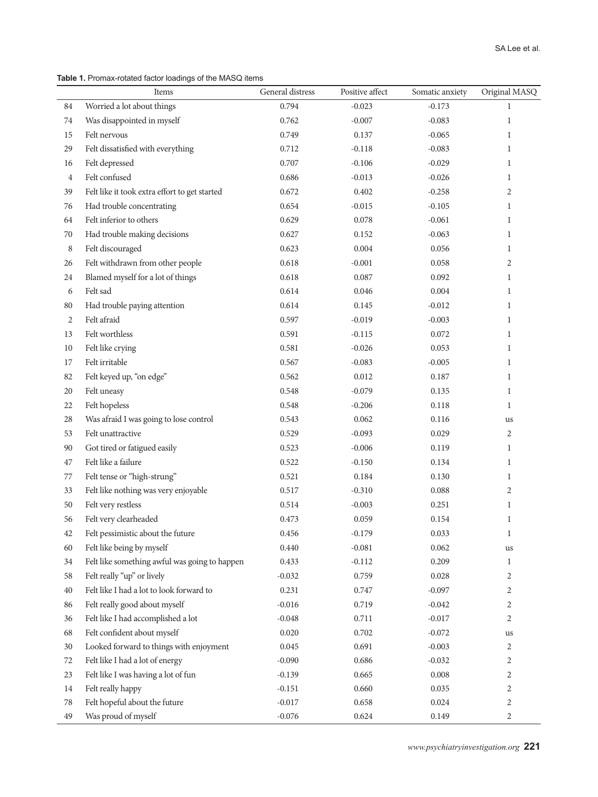| Table 1. Promax-rotated factor loadings of the MASQ items |
|-----------------------------------------------------------|
|-----------------------------------------------------------|

|                | Items                                         | General distress | Positive affect | Somatic anxiety | Original MASQ  |
|----------------|-----------------------------------------------|------------------|-----------------|-----------------|----------------|
| 84             | Worried a lot about things                    | 0.794            | $-0.023$        | $-0.173$        | $\mathbf{1}$   |
| 74             | Was disappointed in myself                    | 0.762            | $-0.007$        | $-0.083$        | $\mathbf{1}$   |
| 15             | Felt nervous                                  | 0.749            | 0.137           | $-0.065$        | $\mathbf{1}$   |
| 29             | Felt dissatisfied with everything             | 0.712            | $-0.118$        | $-0.083$        | $\mathbf{1}$   |
| 16             | Felt depressed                                | 0.707            | $-0.106$        | $-0.029$        | $\mathbf{1}$   |
| $\overline{4}$ | Felt confused                                 | 0.686            | $-0.013$        | $-0.026$        | 1              |
| 39             | Felt like it took extra effort to get started | 0.672            | 0.402           | $-0.258$        | $\overline{2}$ |
| 76             | Had trouble concentrating                     | 0.654            | $-0.015$        | $-0.105$        | $\mathbf{1}$   |
| 64             | Felt inferior to others                       | 0.629            | 0.078           | $-0.061$        | $\mathbf{1}$   |
| 70             | Had trouble making decisions                  | 0.627            | 0.152           | $-0.063$        | $\mathbf{1}$   |
| 8              | Felt discouraged                              | 0.623            | 0.004           | 0.056           | $\mathbf{1}$   |
| 26             | Felt withdrawn from other people              | 0.618            | $-0.001$        | 0.058           | $\overline{c}$ |
| 24             | Blamed myself for a lot of things             | 0.618            | 0.087           | 0.092           | $\mathbf{1}$   |
| 6              | Felt sad                                      | 0.614            | 0.046           | 0.004           | $\mathbf{1}$   |
| 80             | Had trouble paying attention                  | 0.614            | 0.145           | $-0.012$        | $\mathbf{1}$   |
| 2              | Felt afraid                                   | 0.597            | $-0.019$        | $-0.003$        | $\mathbf{1}$   |
| 13             | Felt worthless                                | 0.591            | $-0.115$        | 0.072           | $\mathbf{1}$   |
| 10             | Felt like crying                              | 0.581            | $-0.026$        | 0.053           | $\mathbf{1}$   |
| 17             | Felt irritable                                | 0.567            | $-0.083$        | $-0.005$        | $\mathbf{1}$   |
| 82             | Felt keyed up, "on edge"                      | 0.562            | 0.012           | 0.187           | $\mathbf{1}$   |
| $20\,$         | Felt uneasy                                   | 0.548            | $-0.079$        | 0.135           | $\mathbf{1}$   |
| 22             | Felt hopeless                                 | 0.548            | $-0.206$        | 0.118           | 1              |
| 28             | Was afraid I was going to lose control        | 0.543            | 0.062           | 0.116           | us             |
| 53             | Felt unattractive                             | 0.529            | $-0.093$        | 0.029           | 2              |
| 90             | Got tired or fatigued easily                  | 0.523            | $-0.006$        | 0.119           | $\mathbf{1}$   |
| 47             | Felt like a failure                           | 0.522            | $-0.150$        | 0.134           | 1              |
| 77             | Felt tense or "high-strung"                   | 0.521            | 0.184           | 0.130           | $\mathbf{1}$   |
| 33             | Felt like nothing was very enjoyable          | 0.517            | $-0.310$        | 0.088           | 2              |
| 50             | Felt very restless                            | 0.514            | $-0.003$        | 0.251           | $\mathbf{1}$   |
| 56             | Felt very clearheaded                         | 0.473            | 0.059           | 0.154           | $\mathbf{1}$   |
| 42             | Felt pessimistic about the future             | 0.456            | $-0.179$        | 0.033           | $\mathbf{1}$   |
| 60             | Felt like being by myself                     | 0.440            | $-0.081$        | 0.062           | us             |
| 34             | Felt like something awful was going to happen | 0.433            | $-0.112$        | 0.209           | $\mathbf{1}$   |
| 58             | Felt really "up" or lively                    | $-0.032$         | 0.759           | 0.028           | 2              |
| 40             | Felt like I had a lot to look forward to      | 0.231            | 0.747           | $-0.097$        | 2              |
| 86             | Felt really good about myself                 | $-0.016$         | 0.719           | $-0.042$        | 2              |
| 36             | Felt like I had accomplished a lot            | $-0.048$         | 0.711           | $-0.017$        | $\overline{2}$ |
| 68             | Felt confident about myself                   | 0.020            | 0.702           | $-0.072$        | us             |
| 30             | Looked forward to things with enjoyment       | 0.045            | 0.691           | $-0.003$        | 2              |
| 72             | Felt like I had a lot of energy               | $-0.090$         | 0.686           | $-0.032$        | $\overline{c}$ |
| 23             | Felt like I was having a lot of fun           | $-0.139$         | 0.665           | 0.008           | 2              |
| 14             | Felt really happy                             | $-0.151$         | 0.660           | 0.035           | 2              |
| 78             | Felt hopeful about the future                 | $-0.017$         | 0.658           | 0.024           | 2              |
| 49             | Was proud of myself                           | $-0.076$         | 0.624           | 0.149           | $\overline{c}$ |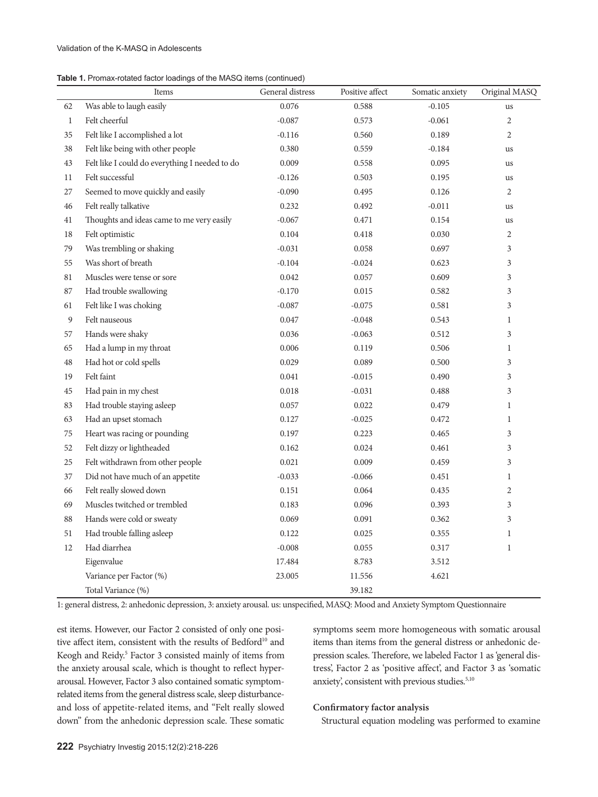| Table 1. Promax-rotated factor loadings of the MASQ items (continued) |  |
|-----------------------------------------------------------------------|--|
|-----------------------------------------------------------------------|--|

|              | Items                                          | General distress | Positive affect | Somatic anxiety | Original MASQ |
|--------------|------------------------------------------------|------------------|-----------------|-----------------|---------------|
| 62           | Was able to laugh easily                       | 0.076            | 0.588           | $-0.105$        | us            |
| $\mathbf{1}$ | Felt cheerful                                  | $-0.087$         | 0.573           | $-0.061$        | 2             |
| 35           | Felt like I accomplished a lot                 | $-0.116$         | 0.560           | 0.189           | 2             |
| 38           | Felt like being with other people              | 0.380            | 0.559           | $-0.184$        | <b>us</b>     |
| 43           | Felt like I could do everything I needed to do | 0.009            | 0.558           | 0.095           | us            |
| 11           | Felt successful                                | $-0.126$         | 0.503           | 0.195           | us            |
| 27           | Seemed to move quickly and easily              | $-0.090$         | 0.495           | 0.126           | 2             |
| 46           | Felt really talkative                          | 0.232            | 0.492           | $-0.011$        | us            |
| 41           | Thoughts and ideas came to me very easily      | $-0.067$         | 0.471           | 0.154           | us            |
| 18           | Felt optimistic                                | 0.104            | 0.418           | 0.030           | 2             |
| 79           | Was trembling or shaking                       | $-0.031$         | 0.058           | 0.697           | 3             |
| 55           | Was short of breath                            | $-0.104$         | $-0.024$        | 0.623           | 3             |
| 81           | Muscles were tense or sore                     | 0.042            | 0.057           | 0.609           | 3             |
| 87           | Had trouble swallowing                         | $-0.170$         | 0.015           | 0.582           | 3             |
| 61           | Felt like I was choking                        | $-0.087$         | $-0.075$        | 0.581           | 3             |
| 9            | Felt nauseous                                  | 0.047            | $-0.048$        | 0.543           | $\mathbf{1}$  |
| 57           | Hands were shaky                               | 0.036            | $-0.063$        | 0.512           | 3             |
| 65           | Had a lump in my throat                        | 0.006            | 0.119           | 0.506           | $\mathbf{1}$  |
| 48           | Had hot or cold spells                         | 0.029            | 0.089           | 0.500           | 3             |
| 19           | Felt faint                                     | 0.041            | $-0.015$        | 0.490           | 3             |
| 45           | Had pain in my chest                           | 0.018            | $-0.031$        | 0.488           | 3             |
| 83           | Had trouble staying asleep                     | 0.057            | 0.022           | 0.479           | $\mathbf{1}$  |
| 63           | Had an upset stomach                           | 0.127            | $-0.025$        | 0.472           | $\mathbf{1}$  |
| 75           | Heart was racing or pounding                   | 0.197            | 0.223           | 0.465           | 3             |
| 52           | Felt dizzy or lightheaded                      | 0.162            | 0.024           | 0.461           | 3             |
| 25           | Felt withdrawn from other people               | 0.021            | 0.009           | 0.459           | 3             |
| 37           | Did not have much of an appetite               | $-0.033$         | $-0.066$        | 0.451           | $\mathbf{1}$  |
| 66           | Felt really slowed down                        | 0.151            | 0.064           | 0.435           | 2             |
| 69           | Muscles twitched or trembled                   | 0.183            | 0.096           | 0.393           | 3             |
| 88           | Hands were cold or sweaty                      | 0.069            | 0.091           | 0.362           | 3             |
| 51           | Had trouble falling asleep                     | 0.122            | 0.025           | 0.355           | $\mathbf{1}$  |
| 12           | Had diarrhea                                   | $-0.008$         | 0.055           | 0.317           | $\mathbf{1}$  |
|              | Eigenvalue                                     | 17.484           | 8.783           | 3.512           |               |
|              | Variance per Factor (%)                        | 23.005           | 11.556          | 4.621           |               |
|              | Total Variance (%)                             |                  | 39.182          |                 |               |

1: general distress, 2: anhedonic depression, 3: anxiety arousal. us: unspecified, MASQ: Mood and Anxiety Symptom Questionnaire

est items. However, our Factor 2 consisted of only one positive affect item, consistent with the results of Bedford<sup>10</sup> and Keogh and Reidy.<sup>5</sup> Factor 3 consisted mainly of items from the anxiety arousal scale, which is thought to reflect hyperarousal. However, Factor 3 also contained somatic symptomrelated items from the general distress scale, sleep disturbanceand loss of appetite-related items, and "Felt really slowed down" from the anhedonic depression scale. These somatic

symptoms seem more homogeneous with somatic arousal items than items from the general distress or anhedonic depression scales. Therefore, we labeled Factor 1 as 'general distress', Factor 2 as 'positive affect', and Factor 3 as 'somatic anxiety', consistent with previous studies.<sup>5,10</sup>

## **Confirmatory factor analysis**

Structural equation modeling was performed to examine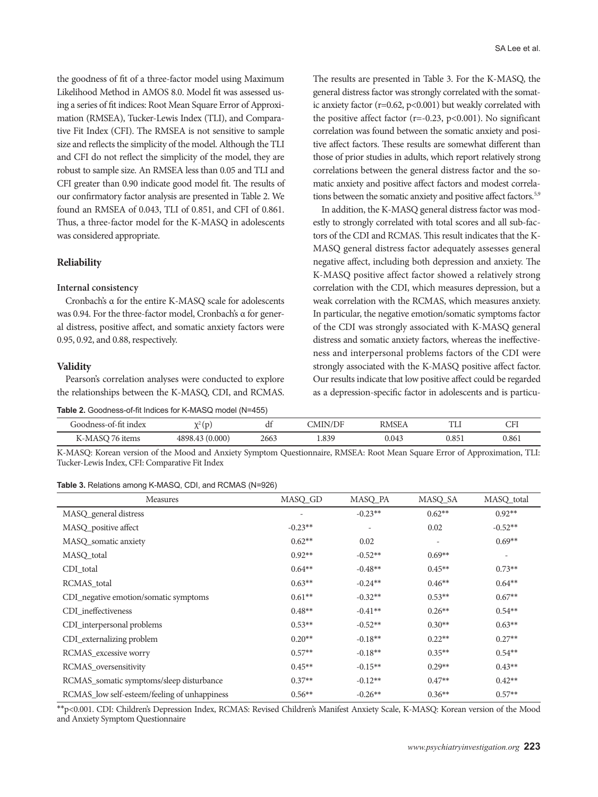the goodness of fit of a three-factor model using Maximum Likelihood Method in AMOS 8.0. Model fit was assessed using a series of fit indices: Root Mean Square Error of Approximation (RMSEA), Tucker-Lewis Index (TLI), and Comparative Fit Index (CFI). The RMSEA is not sensitive to sample size and reflects the simplicity of the model. Although the TLI and CFI do not reflect the simplicity of the model, they are robust to sample size. An RMSEA less than 0.05 and TLI and CFI greater than 0.90 indicate good model fit. The results of our confirmatory factor analysis are presented in Table 2. We found an RMSEA of 0.043, TLI of 0.851, and CFI of 0.861. Thus, a three-factor model for the K-MASQ in adolescents was considered appropriate.

#### **Reliability**

## **Internal consistency**

Cronbach's α for the entire K-MASQ scale for adolescents was 0.94. For the three-factor model, Cronbach's α for general distress, positive affect, and somatic anxiety factors were 0.95, 0.92, and 0.88, respectively.

#### **Validity**

Pearson's correlation analyses were conducted to explore the relationships between the K-MASQ, CDI, and RCMAS.

**Table 2.** Goodness-of-fit Indices for K-MASQ model (N=455)

The results are presented in Table 3. For the K-MASQ, the general distress factor was strongly correlated with the somatic anxiety factor ( $r=0.62$ ,  $p<0.001$ ) but weakly correlated with the positive affect factor ( $r=-0.23$ ,  $p<0.001$ ). No significant correlation was found between the somatic anxiety and positive affect factors. These results are somewhat different than those of prior studies in adults, which report relatively strong correlations between the general distress factor and the somatic anxiety and positive affect factors and modest correlations between the somatic anxiety and positive affect factors.<sup>5,9</sup>

In addition, the K-MASQ general distress factor was modestly to strongly correlated with total scores and all sub-factors of the CDI and RCMAS. This result indicates that the K-MASQ general distress factor adequately assesses general negative affect, including both depression and anxiety. The K-MASQ positive affect factor showed a relatively strong correlation with the CDI, which measures depression, but a weak correlation with the RCMAS, which measures anxiety. In particular, the negative emotion/somatic symptoms factor of the CDI was strongly associated with K-MASQ general distress and somatic anxiety factors, whereas the ineffectiveness and interpersonal problems factors of the CDI were strongly associated with the K-MASQ positive affect factor. Our results indicate that low positive affect could be regarded as a depression-specific factor in adolescents and is particu-

| Goodness-of-fit index      | $\sqrt{2(p)}$   | u    | JMIN/DF | <b>RMSE</b> | my<br>⊥∟⊥ | $\sqrt{ }$<br>u i |
|----------------------------|-----------------|------|---------|-------------|-----------|-------------------|
| K-MAS<br><sub>1</sub> tems | (0.000)<br>4898 | 2663 | 1.839   | 0.043       | 0.851     | 0.861             |

K-MASQ: Korean version of the Mood and Anxiety Symptom Questionnaire, RMSEA: Root Mean Square Error of Approximation, TLI: Tucker-Lewis Index, CFI: Comparative Fit Index

| <b>Table 3.</b> Relations among K-MASQ, CDI, and RCMAS (N=926) |  |  |  |  |
|----------------------------------------------------------------|--|--|--|--|
|----------------------------------------------------------------|--|--|--|--|

| Measures                                     | MASQ_GD   | MASQ_PA                  | MASQ_SA  | MASQ_total               |
|----------------------------------------------|-----------|--------------------------|----------|--------------------------|
| MASQ_general distress                        |           | $-0.23**$                | $0.62**$ | $0.92**$                 |
| MASQ_positive affect                         | $-0.23**$ | $\overline{\phantom{a}}$ | 0.02     | $-0.52**$                |
| MASQ_somatic anxiety                         | $0.62**$  | 0.02                     |          | $0.69**$                 |
| MASQ_total                                   | $0.92**$  | $-0.52**$                | $0.69**$ | $\overline{\phantom{a}}$ |
| CDI_total                                    | $0.64**$  | $-0.48**$                | $0.45**$ | $0.73**$                 |
| RCMAS_total                                  | $0.63**$  | $-0.24**$                | $0.46**$ | $0.64**$                 |
| CDI negative emotion/somatic symptoms        | $0.61**$  | $-0.32**$                | $0.53**$ | $0.67**$                 |
| CDI_ineffectiveness                          | $0.48**$  | $-0.41**$                | $0.26**$ | $0.54**$                 |
| CDI_interpersonal problems                   | $0.53**$  | $-0.52**$                | $0.30**$ | $0.63**$                 |
| CDI_externalizing problem                    | $0.20**$  | $-0.18**$                | $0.22**$ | $0.27**$                 |
| RCMAS_excessive worry                        | $0.57**$  | $-0.18**$                | $0.35**$ | $0.54**$                 |
| RCMAS_oversensitivity                        | $0.45***$ | $-0.15**$                | $0.29**$ | $0.43**$                 |
| RCMAS_somatic symptoms/sleep disturbance     | $0.37**$  | $-0.12**$                | $0.47**$ | $0.42**$                 |
| RCMAS_low self-esteem/feeling of unhappiness | $0.56**$  | $-0.26**$                | $0.36**$ | $0.57**$                 |

\*\*p<0.001. CDI: Children's Depression Index, RCMAS: Revised Children's Manifest Anxiety Scale, K-MASQ: Korean version of the Mood and Anxiety Symptom Questionnaire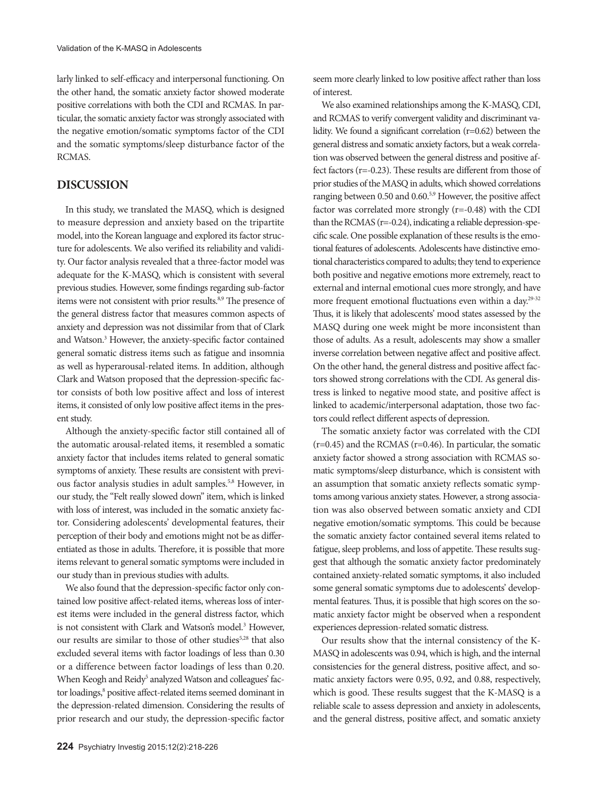larly linked to self-efficacy and interpersonal functioning. On the other hand, the somatic anxiety factor showed moderate positive correlations with both the CDI and RCMAS. In particular, the somatic anxiety factor was strongly associated with the negative emotion/somatic symptoms factor of the CDI and the somatic symptoms/sleep disturbance factor of the RCMAS.

## **DISCUSSION**

In this study, we translated the MASQ, which is designed to measure depression and anxiety based on the tripartite model, into the Korean language and explored its factor structure for adolescents. We also verified its reliability and validity. Our factor analysis revealed that a three-factor model was adequate for the K-MASQ, which is consistent with several previous studies. However, some findings regarding sub-factor items were not consistent with prior results.<sup>8,9</sup> The presence of the general distress factor that measures common aspects of anxiety and depression was not dissimilar from that of Clark and Watson.<sup>3</sup> However, the anxiety-specific factor contained general somatic distress items such as fatigue and insomnia as well as hyperarousal-related items. In addition, although Clark and Watson proposed that the depression-specific factor consists of both low positive affect and loss of interest items, it consisted of only low positive affect items in the present study.

Although the anxiety-specific factor still contained all of the automatic arousal-related items, it resembled a somatic anxiety factor that includes items related to general somatic symptoms of anxiety. These results are consistent with previous factor analysis studies in adult samples.5,8 However, in our study, the "Felt really slowed down" item, which is linked with loss of interest, was included in the somatic anxiety factor. Considering adolescents' developmental features, their perception of their body and emotions might not be as differentiated as those in adults. Therefore, it is possible that more items relevant to general somatic symptoms were included in our study than in previous studies with adults.

We also found that the depression-specific factor only contained low positive affect-related items, whereas loss of interest items were included in the general distress factor, which is not consistent with Clark and Watson's model.<sup>3</sup> However, our results are similar to those of other studies<sup>5,28</sup> that also excluded several items with factor loadings of less than 0.30 or a difference between factor loadings of less than 0.20. When Keogh and Reidy<sup>5</sup> analyzed Watson and colleagues' factor loadings,<sup>8</sup> positive affect-related items seemed dominant in the depression-related dimension. Considering the results of prior research and our study, the depression-specific factor

seem more clearly linked to low positive affect rather than loss of interest.

We also examined relationships among the K-MASQ, CDI, and RCMAS to verify convergent validity and discriminant validity. We found a significant correlation (r=0.62) between the general distress and somatic anxiety factors, but a weak correlation was observed between the general distress and positive affect factors (r=-0.23). These results are different from those of prior studies of the MASQ in adults, which showed correlations ranging between 0.50 and 0.60.5,9 However, the positive affect factor was correlated more strongly (r=-0.48) with the CDI than the RCMAS (r=-0.24), indicating a reliable depression-specific scale. One possible explanation of these results is the emotional features of adolescents. Adolescents have distinctive emotional characteristics compared to adults; they tend to experience both positive and negative emotions more extremely, react to external and internal emotional cues more strongly, and have more frequent emotional fluctuations even within a day.<sup>29-32</sup> Thus, it is likely that adolescents' mood states assessed by the MASQ during one week might be more inconsistent than those of adults. As a result, adolescents may show a smaller inverse correlation between negative affect and positive affect. On the other hand, the general distress and positive affect factors showed strong correlations with the CDI. As general distress is linked to negative mood state, and positive affect is linked to academic/interpersonal adaptation, those two factors could reflect different aspects of depression.

The somatic anxiety factor was correlated with the CDI (r=0.45) and the RCMAS (r=0.46). In particular, the somatic anxiety factor showed a strong association with RCMAS somatic symptoms/sleep disturbance, which is consistent with an assumption that somatic anxiety reflects somatic symptoms among various anxiety states. However, a strong association was also observed between somatic anxiety and CDI negative emotion/somatic symptoms. This could be because the somatic anxiety factor contained several items related to fatigue, sleep problems, and loss of appetite. These results suggest that although the somatic anxiety factor predominately contained anxiety-related somatic symptoms, it also included some general somatic symptoms due to adolescents' developmental features. Thus, it is possible that high scores on the somatic anxiety factor might be observed when a respondent experiences depression-related somatic distress.

Our results show that the internal consistency of the K-MASQ in adolescents was 0.94, which is high, and the internal consistencies for the general distress, positive affect, and somatic anxiety factors were 0.95, 0.92, and 0.88, respectively, which is good. These results suggest that the K-MASQ is a reliable scale to assess depression and anxiety in adolescents, and the general distress, positive affect, and somatic anxiety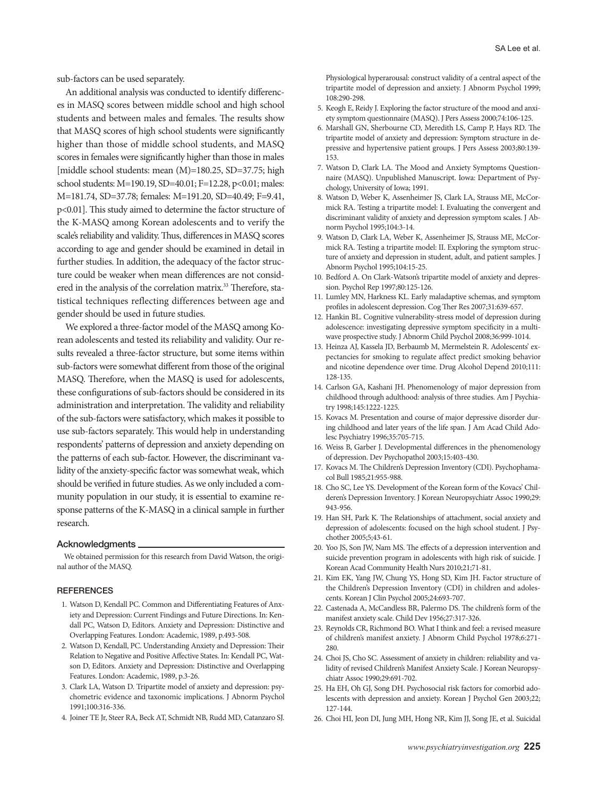sub-factors can be used separately.

An additional analysis was conducted to identify differences in MASQ scores between middle school and high school students and between males and females. The results show that MASQ scores of high school students were significantly higher than those of middle school students, and MASQ scores in females were significantly higher than those in males [middle school students: mean (M)=180.25, SD=37.75; high school students: M=190.19, SD=40.01; F=12.28, p<0.01; males: M=181.74, SD=37.78; females: M=191.20, SD=40.49; F=9.41, p<0.01]. This study aimed to determine the factor structure of the K-MASQ among Korean adolescents and to verify the scale's reliability and validity. Thus, differences in MASQ scores according to age and gender should be examined in detail in further studies. In addition, the adequacy of the factor structure could be weaker when mean differences are not considered in the analysis of the correlation matrix.<sup>33</sup> Therefore, statistical techniques reflecting differences between age and gender should be used in future studies.

We explored a three-factor model of the MASQ among Korean adolescents and tested its reliability and validity. Our results revealed a three-factor structure, but some items within sub-factors were somewhat different from those of the original MASQ. Therefore, when the MASQ is used for adolescents, these configurations of sub-factors should be considered in its administration and interpretation. The validity and reliability of the sub-factors were satisfactory, which makes it possible to use sub-factors separately. This would help in understanding respondents' patterns of depression and anxiety depending on the patterns of each sub-factor. However, the discriminant validity of the anxiety-specific factor was somewhat weak, which should be verified in future studies. As we only included a community population in our study, it is essential to examine response patterns of the K-MASQ in a clinical sample in further research.

#### Acknowledgments

We obtained permission for this research from David Watson, the original author of the MASQ.

## **REFERENCES**

- 1. Watson D, Kendall PC. Common and Differentiating Features of Anxiety and Depression: Current Findings and Future Directions. In: Kendall PC, Watson D, Editors. Anxiety and Depression: Distinctive and Overlapping Features. London: Academic, 1989, p.493-508.
- 2. Watson D, Kendall, PC. Understanding Anxiety and Depression: Their Relation to Negative and Positive Affective States. In: Kendall PC, Watson D, Editors. Anxiety and Depression: Distinctive and Overlapping Features. London: Academic, 1989, p.3-26.
- 3. Clark LA, Watson D. Tripartite model of anxiety and depression: psychometric evidence and taxonomic implications. J Abnorm Psychol 1991;100:316-336.
- 4. Joiner TE Jr, Steer RA, Beck AT, Schmidt NB, Rudd MD, Catanzaro SJ.

Physiological hyperarousal: construct validity of a central aspect of the tripartite model of depression and anxiety. J Abnorm Psychol 1999; 108:290-298.

- 5. Keogh E, Reidy J. Exploring the factor structure of the mood and anxiety symptom questionnaire (MASQ). J Pers Assess 2000;74:106-125.
- 6. Marshall GN, Sherbourne CD, Meredith LS, Camp P, Hays RD. The tripartite model of anxiety and depression: Symptom structure in depressive and hypertensive patient groups. J Pers Assess 2003;80:139- 153.
- 7. Watson D, Clark LA. The Mood and Anxiety Symptoms Questionnaire (MASQ). Unpublished Manuscript. Iowa: Department of Psychology, University of Iowa; 1991.
- 8. Watson D, Weber K, Assenheimer JS, Clark LA, Strauss ME, McCormick RA. Testing a tripartite model: I. Evaluating the convergent and discriminant validity of anxiety and depression symptom scales. J Abnorm Psychol 1995;104:3-14.
- 9. Watson D, Clark LA, Weber K, Assenheimer JS, Strauss ME, McCormick RA. Testing a tripartite model: II. Exploring the symptom structure of anxiety and depression in student, adult, and patient samples. J Abnorm Psychol 1995;104:15-25.
- 10. Bedford A. On Clark-Watson's tripartite model of anxiety and depression. Psychol Rep 1997;80:125-126.
- 11. Lumley MN, Harkness KL. Early maladaptive schemas, and symptom profiles in adolescent depression. Cog Ther Res 2007;31:639-657.
- 12. Hankin BL. Cognitive vulnerability-stress model of depression during adolescence: investigating depressive symptom specificity in a multiwave prospective study. J Abnorm Child Psychol 2008;36:999-1014.
- 13. Heinza AJ, Kassela JD, Berbaumb M, Mermelstein R. Adolescents' expectancies for smoking to regulate affect predict smoking behavior and nicotine dependence over time. Drug Alcohol Depend 2010;111: 128-135.
- 14. Carlson GA, Kashani JH. Phenomenology of major depression from childhood through adulthood: analysis of three studies. Am J Psychiatry 1998;145:1222-1225.
- 15. Kovacs M. Presentation and course of major depressive disorder during childhood and later years of the life span. J Am Acad Child Adolesc Psychiatry 1996;35:705-715.
- 16. Weiss B, Garber J. Developmental differences in the phenomenology of depression. Dev Psychopathol 2003;15:403-430.
- 17. Kovacs M. The Children's Depression Inventory (CDI). Psychophamacol Bull 1985;21:955-988.
- 18. Cho SC, Lee YS. Development of the Korean form of the Kovacs' Childeren's Depression Inventory. J Korean Neuropsychiatr Assoc 1990;29: 943-956.
- 19. Han SH, Park K. The Relationships of attachment, social anxiety and depression of adolescents: focused on the high school student. J Psychother 2005;5;43-61.
- 20. Yoo JS, Son JW, Nam MS. The effects of a depression intervention and suicide prevention program in adolescents with high risk of suicide. J Korean Acad Community Health Nurs 2010;21;71-81.
- 21. Kim EK, Yang JW, Chung YS, Hong SD, Kim JH. Factor structure of the Children's Depression Inventory (CDI) in children and adolescents. Korean J Clin Psychol 2005;24:693-707.
- 22. Castenada A, McCandless BR, Palermo DS. The children's form of the manifest anxiety scale. Child Dev 1956;27:317-326.
- 23. Reynolds CR, Richmond BO. What I think and feel: a revised measure of children's manifest anxiety. J Abnorm Child Psychol 1978;6:271- 280.
- 24. Choi JS, Cho SC. Assessment of anxiety in children: reliability and validity of revised Children's Manifest Anxiety Scale. J Korean Neuropsychiatr Assoc 1990;29:691-702.
- 25. Ha EH, Oh GJ, Song DH. Psychosocial risk factors for comorbid adolescents with depression and anxiety. Korean J Psychol Gen 2003;22; 127-144.
- 26. Choi HI, Jeon DI, Jung MH, Hong NR, Kim JJ, Song JE, et al. Suicidal